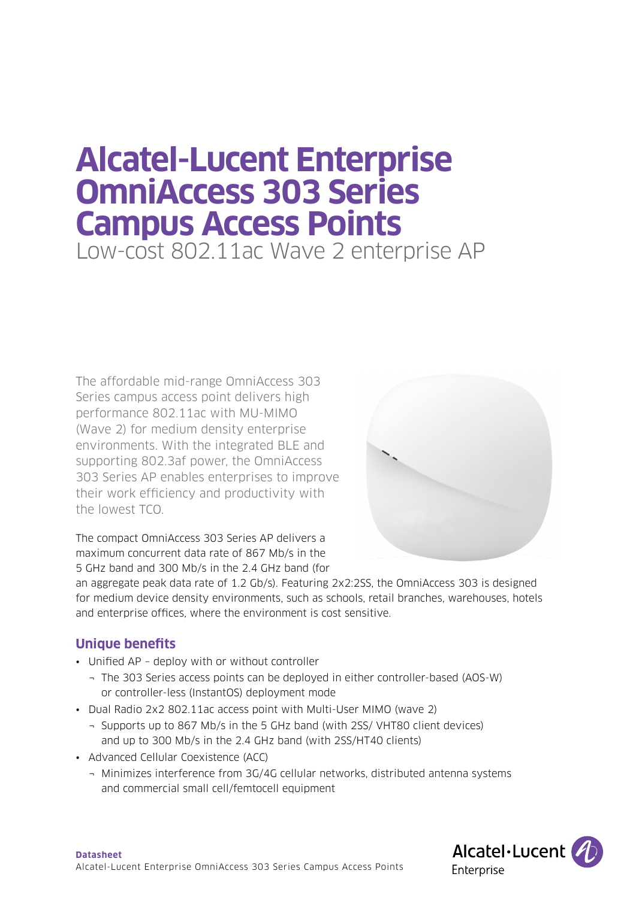# **Alcatel-Lucent Enterprise OmniAccess 303 Series Campus Access Points**  Low-cost 802.11ac Wave 2 enterprise AP

The affordable mid-range OmniAccess 303 Series campus access point delivers high performance 802.11ac with MU-MIMO (Wave 2) for medium density enterprise environments. With the integrated BLE and supporting 802.3af power, the OmniAccess 303 Series AP enables enterprises to improve their work efficiency and productivity with the lowest TCO.



The compact OmniAccess 303 Series AP delivers a maximum concurrent data rate of 867 Mb/s in the 5 GHz band and 300 Mb/s in the 2.4 GHz band (for

an aggregate peak data rate of 1.2 Gb/s). Featuring 2x2:2SS, the OmniAccess 303 is designed for medium device density environments, such as schools, retail branches, warehouses, hotels and enterprise offices, where the environment is cost sensitive.

# **Unique benefits**

- Unified AP deploy with or without controller
	- ¬ The 303 Series access points can be deployed in either controller-based (AOS-W) or controller-less (InstantOS) deployment mode
- Dual Radio 2x2 802.11ac access point with Multi-User MIMO (wave 2)
	- ¬ Supports up to 867 Mb/s in the 5 GHz band (with 2SS/ VHT80 client devices) and up to 300 Mb/s in the 2.4 GHz band (with 2SS/HT40 clients)
- Advanced Cellular Coexistence (ACC)
	- ¬ Minimizes interference from 3G/4G cellular networks, distributed antenna systems and commercial small cell/femtocell equipment

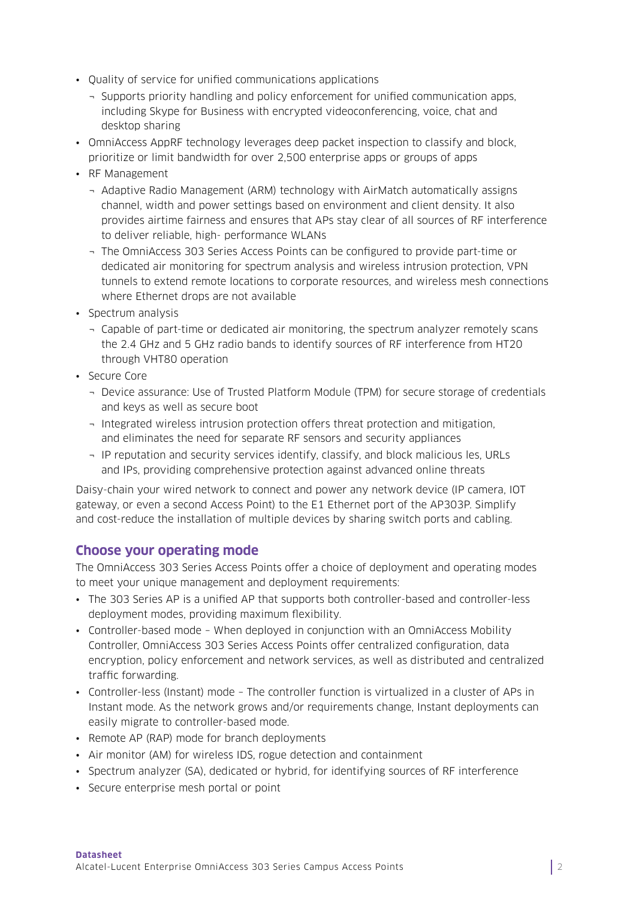- Quality of service for unified communications applications
	- ¬ Supports priority handling and policy enforcement for unified communication apps, including Skype for Business with encrypted videoconferencing, voice, chat and desktop sharing
- OmniAccess AppRF technology leverages deep packet inspection to classify and block, prioritize or limit bandwidth for over 2,500 enterprise apps or groups of apps
- RF Management
	- ¬ Adaptive Radio Management (ARM) technology with AirMatch automatically assigns channel, width and power settings based on environment and client density. It also provides airtime fairness and ensures that APs stay clear of all sources of RF interference to deliver reliable, high- performance WLANs
	- ¬ The OmniAccess 303 Series Access Points can be configured to provide part-time or dedicated air monitoring for spectrum analysis and wireless intrusion protection, VPN tunnels to extend remote locations to corporate resources, and wireless mesh connections where Ethernet drops are not available
- Spectrum analysis
	- ¬ Capable of part-time or dedicated air monitoring, the spectrum analyzer remotely scans the 2.4 GHz and 5 GHz radio bands to identify sources of RF interference from HT20 through VHT80 operation
- Secure Core
	- ¬ Device assurance: Use of Trusted Platform Module (TPM) for secure storage of credentials and keys as well as secure boot
	- ¬ Integrated wireless intrusion protection offers threat protection and mitigation, and eliminates the need for separate RF sensors and security appliances
	- ¬ IP reputation and security services identify, classify, and block malicious les, URLs and IPs, providing comprehensive protection against advanced online threats

Daisy-chain your wired network to connect and power any network device (IP camera, IOT gateway, or even a second Access Point) to the E1 Ethernet port of the AP303P. Simplify and cost-reduce the installation of multiple devices by sharing switch ports and cabling.

# **Choose your operating mode**

The OmniAccess 303 Series Access Points offer a choice of deployment and operating modes to meet your unique management and deployment requirements:

- The 303 Series AP is a unified AP that supports both controller-based and controller-less deployment modes, providing maximum flexibility.
- Controller-based mode When deployed in conjunction with an OmniAccess Mobility Controller, OmniAccess 303 Series Access Points offer centralized configuration, data encryption, policy enforcement and network services, as well as distributed and centralized traffic forwarding.
- Controller-less (Instant) mode The controller function is virtualized in a cluster of APs in Instant mode. As the network grows and/or requirements change, Instant deployments can easily migrate to controller-based mode.
- Remote AP (RAP) mode for branch deployments
- Air monitor (AM) for wireless IDS, rogue detection and containment
- Spectrum analyzer (SA), dedicated or hybrid, for identifying sources of RF interference
- Secure enterprise mesh portal or point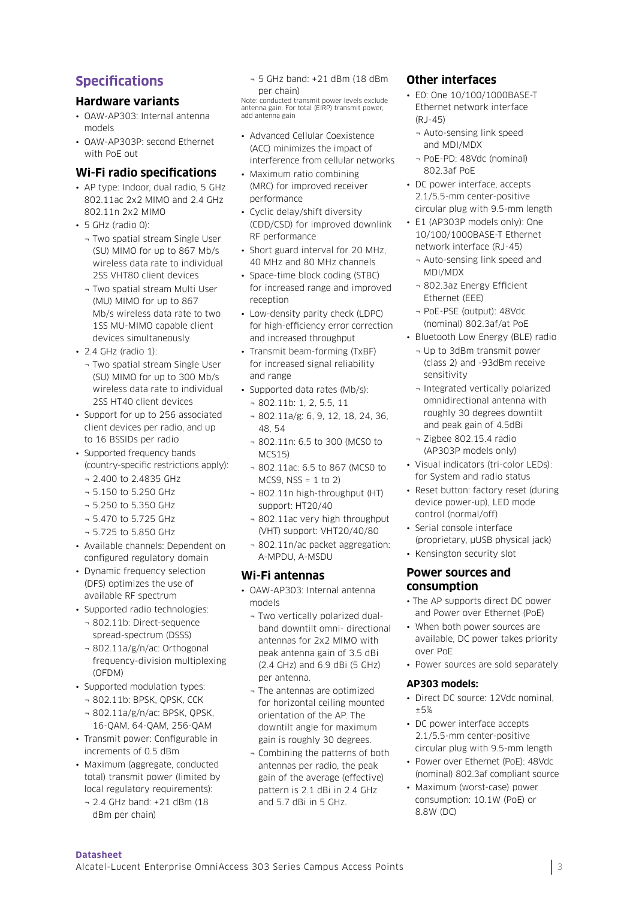# **Specifications**

# **Hardware variants**

- OAW-AP303: Internal antenna models
- OAW-AP303P: second Ethernet with PoE out

## **Wi-Fi radio specifications**

- AP type: Indoor, dual radio, 5 GHz 802.11ac 2x2 MIMO and 2.4 GHz 802.11n 2x2 MIMO
- 5 GHz (radio 0):
- ¬ Two spatial stream Single User (SU) MIMO for up to 867 Mb/s wireless data rate to individual 2SS VHT80 client devices
- ¬ Two spatial stream Multi User (MU) MIMO for up to 867 Mb/s wireless data rate to two 1SS MU-MIMO capable client devices simultaneously
- 2.4 GHz (radio 1):
	- ¬ Two spatial stream Single User (SU) MIMO for up to 300 Mb/s wireless data rate to individual 2SS HT40 client devices
- Support for up to 256 associated client devices per radio, and up to 16 BSSIDs per radio
- Supported frequency bands (country-specific restrictions apply):
	- ¬ 2.400 to 2.4835 GHz
	- ¬ 5.150 to 5.250 GHz
	- ¬ 5.250 to 5.350 GHz
	- ¬ 5.470 to 5.725 GHz
	- ¬ 5.725 to 5.850 GHz
- Available channels: Dependent on configured regulatory domain
- Dynamic frequency selection (DFS) optimizes the use of available RF spectrum
- Supported radio technologies:
	- ¬ 802.11b: Direct-sequence spread-spectrum (DSSS) ¬ 802.11a/g/n/ac: Orthogonal
	- frequency-division multiplexing (OFDM)
- Supported modulation types:
	- ¬ 802.11b: BPSK, QPSK, CCK ¬ 802.11a/g/n/ac: BPSK, QPSK, 16-QAM, 64-QAM, 256-QAM
- Transmit power: Configurable in increments of 0.5 dBm
- Maximum (aggregate, conducted total) transmit power (limited by local regulatory requirements):
	- ¬ 2.4 GHz band: +21 dBm (18 dBm per chain)

¬ 5 GHz band: +21 dBm (18 dBm per chain)

Note: conducted transmit power levels exclude antenna gain. For total (EIRP) transmit power, add antenna gain

- Advanced Cellular Coexistence (ACC) minimizes the impact of interference from cellular networks
- Maximum ratio combining (MRC) for improved receiver performance
- Cyclic delay/shift diversity (CDD/CSD) for improved downlink RF performance
- Short guard interval for 20 MHz, 40 MHz and 80 MHz channels
- Space-time block coding (STBC) for increased range and improved reception
- Low-density parity check (LDPC) for high-efficiency error correction and increased throughput
- Transmit beam-forming (TxBF) for increased signal reliability and range
- Supported data rates (Mb/s): ¬ 802.11b: 1, 2, 5.5, 11
	- ¬ 802.11a/g: 6, 9, 12, 18, 24, 36, 48, 54
	- ¬ 802.11n: 6.5 to 300 (MCS0 to MCS15)
	- ¬ 802.11ac: 6.5 to 867 (MCS0 to  $MCS9, NSS = 1 to 2$
	- ¬ 802.11n high-throughput (HT) support: HT20/40
	- ¬ 802.11ac very high throughput (VHT) support: VHT20/40/80
	- ¬ 802.11n/ac packet aggregation: A-MPDU, A-MSDU

# **Wi-Fi antennas**

- OAW-AP303: Internal antenna models
	- ¬ Two vertically polarized dualband downtilt omni- directional antennas for 2x2 MIMO with peak antenna gain of 3.5 dBi (2.4 GHz) and 6.9 dBi (5 GHz) per antenna.
	- ¬ The antennas are optimized for horizontal ceiling mounted orientation of the AP. The downtilt angle for maximum gain is roughly 30 degrees.
- ¬ Combining the patterns of both antennas per radio, the peak gain of the average (effective) pattern is 2.1 dBi in 2.4 GHz and 5.7 dBi in 5 GHz.

# **Other interfaces**

- E0: One 10/100/1000BASE-T Ethernet network interface (RJ-45)
	- ¬ Auto-sensing link speed and MDI/MDX
	- ¬ PoE-PD: 48Vdc (nominal) 802.3af PoE
- DC power interface, accepts 2.1/5.5-mm center-positive circular plug with 9.5-mm length
- E1 (AP303P models only): One 10/100/1000BASE-T Ethernet network interface (RJ-45)
	- ¬ Auto-sensing link speed and MDI/MDX
	- ¬ 802.3az Energy Efficient Ethernet (EEE)
	- ¬ PoE-PSE (output): 48Vdc (nominal) 802.3af/at PoE
- Bluetooth Low Energy (BLE) radio
	- ¬ Up to 3dBm transmit power (class 2) and -93dBm receive sensitivity
	- ¬ Integrated vertically polarized omnidirectional antenna with roughly 30 degrees downtilt and peak gain of 4.5dBi
	- ¬ Zigbee 802.15.4 radio (AP303P models only)
- Visual indicators (tri-color LEDs): for System and radio status
- Reset button: factory reset (during device power-up), LED mode control (normal/off)
- Serial console interface (proprietary, µUSB physical jack)
- Kensington security slot

# **Power sources and consumption**

- The AP supports direct DC power and Power over Ethernet (PoE)
- When both power sources are available, DC power takes priority over PoE
- Power sources are sold separately

#### **AP303 models:**

- Direct DC source: 12Vdc nominal, ±5%
- DC power interface accepts 2.1/5.5-mm center-positive circular plug with 9.5-mm length
- Power over Ethernet (PoE): 48Vdc (nominal) 802.3af compliant source
- Maximum (worst-case) power consumption: 10.1W (PoE) or 8.8W (DC)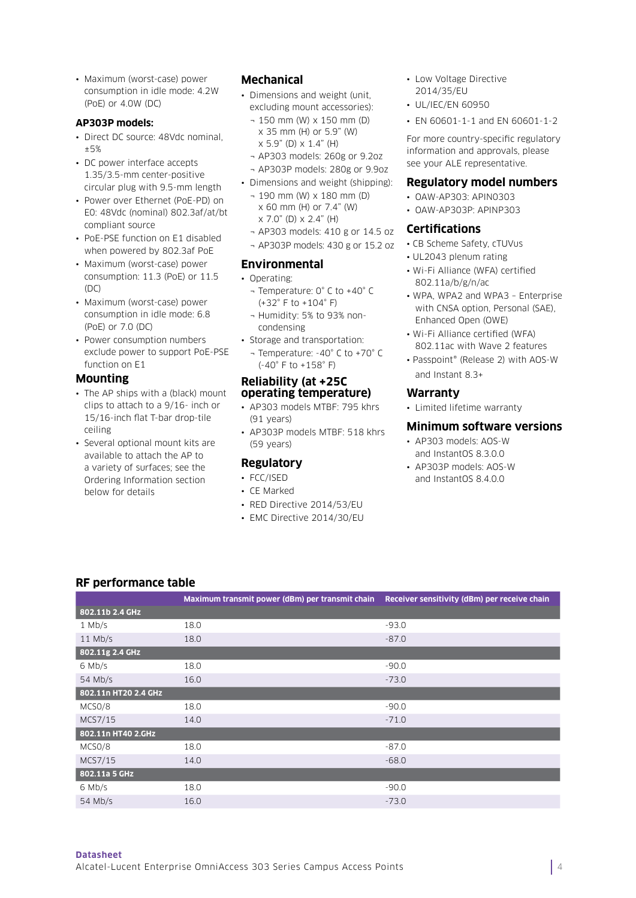• Maximum (worst-case) power consumption in idle mode: 4.2W (PoE) or 4.0W (DC)

#### **AP303P models:**

- Direct DC source: 48Vdc nominal ±5%
- DC power interface accepts 1.35/3.5-mm center-positive circular plug with 9.5-mm length
- Power over Ethernet (PoE-PD) on E0: 48Vdc (nominal) 802.3af/at/bt compliant source
- PoE-PSE function on E1 disabled when powered by 802.3af PoE
- Maximum (worst-case) power consumption: 11.3 (PoE) or 11.5  $(DC)$
- Maximum (worst-case) power consumption in idle mode: 6.8 (PoE) or 7.0 (DC)
- Power consumption numbers exclude power to support PoE-PSE function on E1

#### **Mounting**

- The AP ships with a (black) mount clips to attach to a 9/16- inch or 15/16-inch flat T-bar drop-tile ceiling
- Several optional mount kits are available to attach the AP to a variety of surfaces; see the Ordering Information section below for details

# **Mechanical**

- Dimensions and weight (unit, excluding mount accessories):
	- ¬ 150 mm (W) x 150 mm (D) x 35 mm (H) or 5.9" (W) x 5.9" (D) x 1.4" (H)
	- ¬ AP303 models: 260g or 9.2oz ¬ AP303P models: 280g or 9.9oz
- Dimensions and weight (shipping):
	- ¬ 190 mm (W) x 180 mm (D) x 60 mm (H) or 7.4" (W)  $x 7.0$ " (D)  $x 2.4$ " (H)
	- ¬ AP303 models: 410 g or 14.5 oz
	- ¬ AP303P models: 430 g or 15.2 oz

# **Environmental**

- Operating:
	- ¬ Temperature: 0° C to +40° C (+32° F to +104° F)
	- ¬ Humidity: 5% to 93% noncondensing
- Storage and transportation: ¬ Temperature: -40° C to +70° C (-40° F to +158° F)

#### **Reliability (at +25C operating temperature)**

- AP303 models MTBF: 795 khrs (91 years)
- AP303P models MTBF: 518 khrs (59 years)

# **Regulatory**

- FCC/ISED
- CE Marked
- RED Directive 2014/53/EU
- EMC Directive 2014/30/EU

#### • Low Voltage Directive 2014/35/EU

- UL/IEC/EN 60950
- EN 60601-1-1 and EN 60601-1-2

For more country-specific regulatory information and approvals, please see your ALE representative.

#### **Regulatory model numbers**

- OAW-AP303: APIN0303
- OAW-AP303P: APINP303

# **Certifications**

- CB Scheme Safety, cTUVus
- UL2043 plenum rating
- Wi-Fi Alliance (WFA) certified 802.11a/b/g/n/ac
- WPA, WPA2 and WPA3 Enterprise with CNSA option, Personal (SAE), Enhanced Open (OWE)
- Wi-Fi Alliance certified (WFA) 802.11ac with Wave 2 features
- Passpoint® (Release 2) with AOS-W and Instant 8.3+

#### **Warranty**

• Limited lifetime warranty

#### **Minimum software versions**

- AP303 models: AOS-W and InstantOS 8.3.0.0
- AP303P models: AOS-W and InstantOS 8.4.0.0

# **RF performance table**

|                      | Maximum transmit power (dBm) per transmit chain | Receiver sensitivity (dBm) per receive chain |
|----------------------|-------------------------------------------------|----------------------------------------------|
| 802.11b 2.4 GHz      |                                                 |                                              |
| $1$ Mb/s             | 18.0                                            | $-93.0$                                      |
| $11$ Mb/s            | 18.0                                            | $-87.0$                                      |
| 802.11g 2.4 GHz      |                                                 |                                              |
| 6 Mb/s               | 18.0                                            | $-90.0$                                      |
| 54 Mb/s              | 16.0                                            | $-73.0$                                      |
| 802.11n HT20 2.4 GHz |                                                 |                                              |
| MCSO/8               | 18.0                                            | $-90.0$                                      |
| MCS7/15              | 14.0                                            | $-71.0$                                      |
| 802.11n HT40 2.GHz   |                                                 |                                              |
| MCSO/8               | 18.0                                            | $-87.0$                                      |
| MCS7/15              | 14.0                                            | $-68.0$                                      |
| 802.11a 5 GHz        |                                                 |                                              |
| $6$ Mb/s             | 18.0                                            | $-90.0$                                      |
| 54 Mb/s              | 16.0                                            | $-73.0$                                      |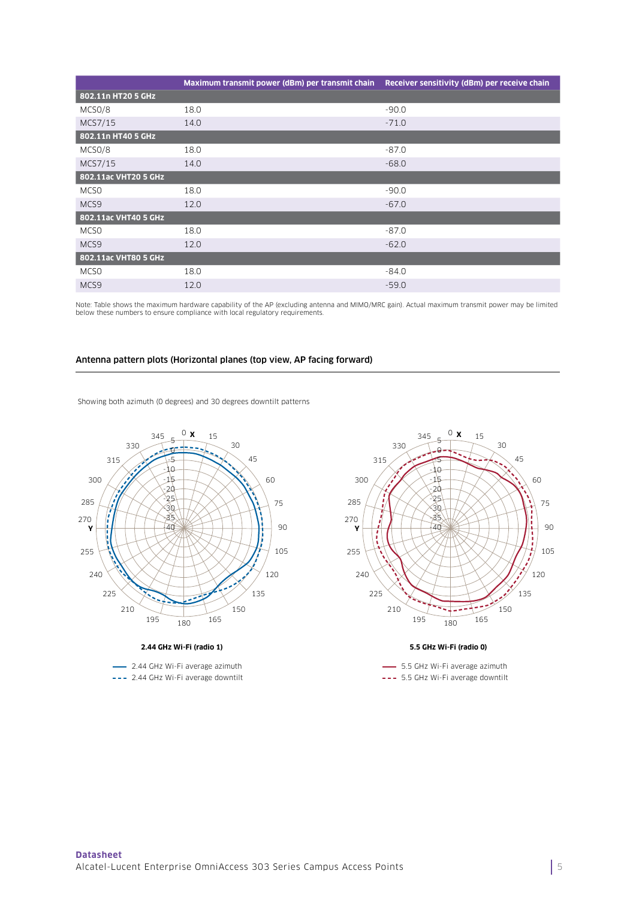|                      | Maximum transmit power (dBm) per transmit chain Receiver sensitivity (dBm) per receive chain |         |
|----------------------|----------------------------------------------------------------------------------------------|---------|
| 802.11n HT20 5 GHz   |                                                                                              |         |
| MCSO/8               | 18.0                                                                                         | $-90.0$ |
| MCS7/15              | 14.0                                                                                         | $-71.0$ |
| 802.11n HT40 5 GHz   |                                                                                              |         |
| MCSO/8               | 18.0                                                                                         | $-87.0$ |
| MCS7/15              | 14.0                                                                                         | $-68.0$ |
| 802.11ac VHT20 5 GHz |                                                                                              |         |
| MCS <sub>0</sub>     | 18.0                                                                                         | $-90.0$ |
| MCS9                 | 12.0                                                                                         | $-67.0$ |
| 802.11ac VHT40 5 GHz |                                                                                              |         |
| MCSO                 | 18.0                                                                                         | $-87.0$ |
| MCS9                 | 12.0                                                                                         | $-62.0$ |
| 802.11ac VHT80 5 GHz |                                                                                              |         |
| MCS <sub>0</sub>     | 18.0                                                                                         | $-84.0$ |
| MCS9                 | 12.0                                                                                         | $-59.0$ |

Note: Table shows the maximum hardware capability of the AP (excluding antenna and MIMO/MRC gain). Actual maximum transmit power may be limited below these numbers to ensure compliance with local regulatory requirements.

#### Antenna pattern plots (Horizontal planes (top view, AP facing forward)

Showing both azimuth (0 degrees) and 30 degrees downtilt patterns



#### **2.44 GHz Wi-Fi (radio 1)**

2.44 GHz Wi-Fi average azimuth 2.44 GHz Wi-Fi average downtilt



#### **5.5 GHz Wi-Fi (radio 0)**

- 5.5 GHz Wi-Fi average azimuth 5.5 GHz Wi-Fi average downtilt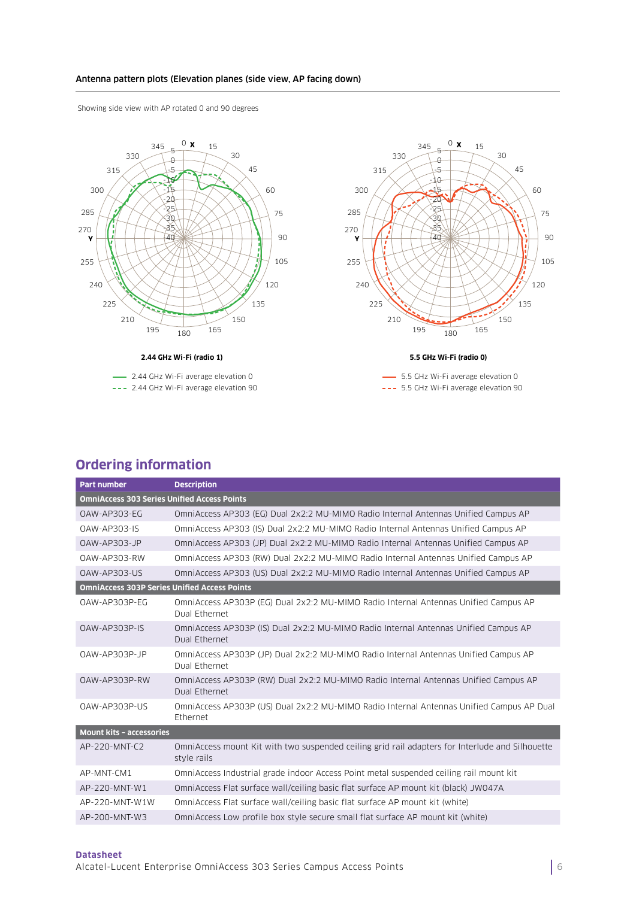### Antenna pattern plots (Elevation planes (side view, AP facing down)

Showing side view with AP rotated 0 and 90 degrees



--- 2.44 GHz Wi-Fi average elevation 90



- 5.5 GHz Wi-Fi average elevation 0 --- 5.5 GHz Wi-Fi average elevation 90

# **Ordering information**

| <b>Part number</b>                                  | <b>Description</b>                                                                                             |  |
|-----------------------------------------------------|----------------------------------------------------------------------------------------------------------------|--|
| <b>OmniAccess 303 Series Unified Access Points</b>  |                                                                                                                |  |
| 0AW-AP303-EG                                        | OmniAccess AP303 (EG) Dual 2x2:2 MU-MIMO Radio Internal Antennas Unified Campus AP                             |  |
| <b>OAW-AP303-IS</b>                                 | OmniAccess AP303 (IS) Dual 2x2:2 MU-MIMO Radio Internal Antennas Unified Campus AP                             |  |
| $0AW-AP303-JP$                                      | OmniAccess AP303 (JP) Dual 2x2:2 MU-MIMO Radio Internal Antennas Unified Campus AP                             |  |
| OAW-AP303-RW                                        | OmniAccess AP303 (RW) Dual 2x2:2 MU-MIMO Radio Internal Antennas Unified Campus AP                             |  |
| OAW-AP303-US                                        | OmniAccess AP303 (US) Dual 2x2:2 MU-MIMO Radio Internal Antennas Unified Campus AP                             |  |
| <b>OmniAccess 303P Series Unified Access Points</b> |                                                                                                                |  |
| OAW-AP303P-EG                                       | OmniAccess AP303P (EG) Dual 2x2:2 MU-MIMO Radio Internal Antennas Unified Campus AP<br>Dual Ethernet           |  |
| 0AW-AP303P-IS                                       | OmniAccess AP303P (IS) Dual 2x2:2 MU-MIMO Radio Internal Antennas Unified Campus AP<br>Dual Ethernet           |  |
| OAW-AP303P-JP                                       | OmniAccess AP303P (JP) Dual 2x2:2 MU-MIMO Radio Internal Antennas Unified Campus AP<br>Dual Ethernet           |  |
| OAW-AP303P-RW                                       | OmniAccess AP303P (RW) Dual 2x2:2 MU-MIMO Radio Internal Antennas Unified Campus AP<br>Dual Ethernet           |  |
| OAW-AP303P-US                                       | OmniAccess AP303P (US) Dual 2x2:2 MU-MIMO Radio Internal Antennas Unified Campus AP Dual<br>Ethernet           |  |
| <b>Mount kits - accessories</b>                     |                                                                                                                |  |
| AP-220-MNT-C2                                       | OmniAccess mount Kit with two suspended ceiling grid rail adapters for Interlude and Silhouette<br>style rails |  |
| AP-MNT-CM1                                          | OmniAccess Industrial grade indoor Access Point metal suspended ceiling rail mount kit                         |  |
| AP-220-MNT-W1                                       | OmniAccess Flat surface wall/ceiling basic flat surface AP mount kit (black) JW047A                            |  |
| AP-220-MNT-W1W                                      | OmniAccess Flat surface wall/ceiling basic flat surface AP mount kit (white)                                   |  |
| AP-200-MNT-W3                                       | OmniAccess Low profile box style secure small flat surface AP mount kit (white)                                |  |